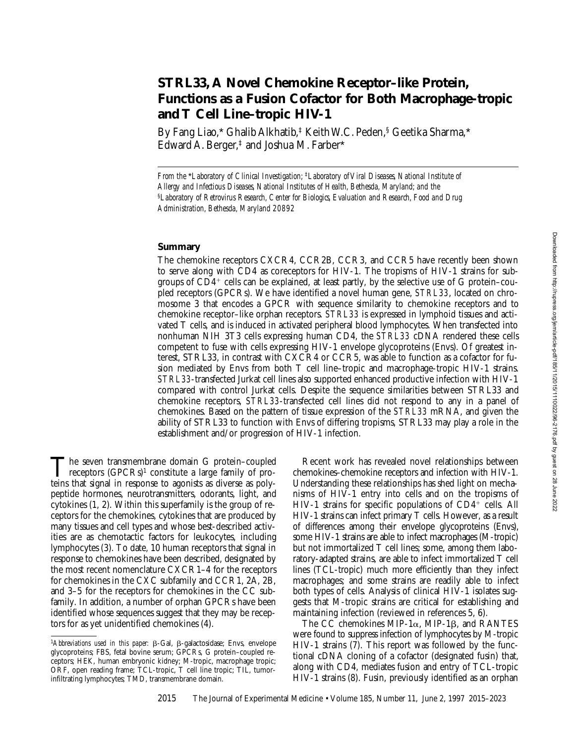# **STRL33, A Novel Chemokine Receptor–like Protein, Functions as a Fusion Cofactor for Both Macrophage-tropic and T Cell Line–tropic HIV-1**

By Fang Liao,\* Ghalib Alkhatib,<sup>‡</sup> Keith W.C. Peden,<sup>§</sup> Geetika Sharma,\* Edward A. Berger,‡ and Joshua M. Farber\*

*From the* \**Laboratory of Clinical Investigation;* ‡*Laboratory of Viral Diseases, National Institute of Allergy and Infectious Diseases, National Institutes of Health, Bethesda, Maryland; and the*  §*Laboratory of Retrovirus Research, Center for Biologics, Evaluation and Research, Food and Drug Administration, Bethesda, Maryland 20892*

## **Summary**

The chemokine receptors CXCR4, CCR2B, CCR3, and CCR5 have recently been shown to serve along with CD4 as coreceptors for HIV-1. The tropisms of HIV-1 strains for subgroups of  $CD4^+$  cells can be explained, at least partly, by the selective use of G protein–coupled receptors (GPCRs). We have identified a novel human gene, *STRL33*, located on chromosome 3 that encodes a GPCR with sequence similarity to chemokine receptors and to chemokine receptor–like orphan receptors. *STRL33* is expressed in lymphoid tissues and activated T cells, and is induced in activated peripheral blood lymphocytes. When transfected into nonhuman NIH 3T3 cells expressing human CD4, the *STRL33* cDNA rendered these cells competent to fuse with cells expressing HIV-1 envelope glycoproteins (Envs). Of greatest interest, STRL33, in contrast with CXCR4 or CCR5, was able to function as a cofactor for fusion mediated by Envs from both T cell line–tropic and macrophage-tropic HIV-1 strains. *STRL33*-transfected Jurkat cell lines also supported enhanced productive infection with HIV-1 compared with control Jurkat cells. Despite the sequence similarities between STRL33 and chemokine receptors, *STRL33*-transfected cell lines did not respond to any in a panel of chemokines. Based on the pattern of tissue expression of the *STRL33* mRNA, and given the ability of STRL33 to function with Envs of differing tropisms, STRL33 may play a role in the establishment and/or progression of HIV-1 infection.

The seven transmembrane domain G protein–coupled<br>receptors (GPCRs)<sup>1</sup> constitute a large family of pro-<br>toins that signal in response to agonists as diverse as poly teins that signal in response to agonists as diverse as polypeptide hormones, neurotransmitters, odorants, light, and cytokines (1, 2). Within this superfamily is the group of receptors for the chemokines, cytokines that are produced by many tissues and cell types and whose best-described activities are as chemotactic factors for leukocytes, including lymphocytes (3). To date, 10 human receptors that signal in response to chemokines have been described, designated by the most recent nomenclature CXCR1–4 for the receptors for chemokines in the CXC subfamily and CCR1, 2A, 2B, and 3–5 for the receptors for chemokines in the CC subfamily. In addition, a number of orphan GPCRs have been identified whose sequences suggest that they may be receptors for as yet unidentified chemokines (4).

Recent work has revealed novel relationships between chemokines–chemokine receptors and infection with HIV-1. Understanding these relationships has shed light on mechanisms of HIV-1 entry into cells and on the tropisms of HIV-1 strains for specific populations of  $CD4^+$  cells. All HIV-1 strains can infect primary T cells. However, as a result of differences among their envelope glycoproteins (Envs), some HIV-1 strains are able to infect macrophages (M-tropic) but not immortalized T cell lines; some, among them laboratory-adapted strains, are able to infect immortalized T cell lines (TCL-tropic) much more efficiently than they infect macrophages; and some strains are readily able to infect both types of cells. Analysis of clinical HIV-1 isolates suggests that M-tropic strains are critical for establishing and maintaining infection (reviewed in references 5, 6).

The CC chemokines MIP-1 $\alpha$ , MIP-1 $\beta$ , and RANTES were found to suppress infection of lymphocytes by M-tropic HIV-1 strains (7). This report was followed by the functional cDNA cloning of a cofactor (designated fusin) that, along with CD4, mediates fusion and entry of TCL-tropic HIV-1 strains (8). Fusin, previously identified as an orphan

<sup>&</sup>lt;sup>1</sup>Abbreviations used in this paper:  $\beta$ -Gal,  $\beta$ -galactosidase; Envs, envelope glycoproteins; FBS, fetal bovine serum; GPCRs, G protein–coupled receptors; HEK, human embryonic kidney; M-tropic, macrophage tropic; ORF, open reading frame; TCL-tropic, T cell line tropic; TIL, tumorinfiltrating lymphocytes; TMD, transmembrane domain.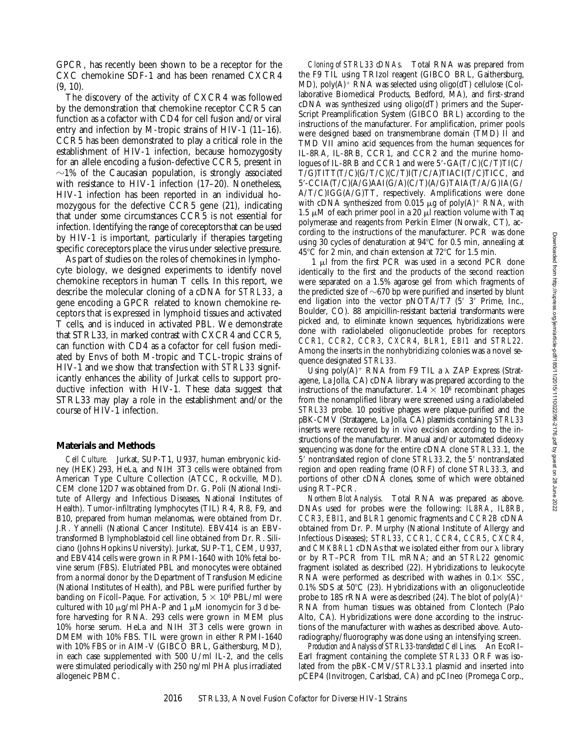GPCR, has recently been shown to be a receptor for the CXC chemokine SDF-1 and has been renamed CXCR4 (9, 10).

The discovery of the activity of CXCR4 was followed by the demonstration that chemokine receptor CCR5 can function as a cofactor with CD4 for cell fusion and/or viral entry and infection by M-tropic strains of HIV-1 (11–16). CCR5 has been demonstrated to play a critical role in the establishment of HIV-1 infection, because homozygosity for an allele encoding a fusion-defective CCR5, present in  $\sim$ 1% of the Caucasian population, is strongly associated with resistance to HIV-1 infection (17–20). Nonetheless, HIV-1 infection has been reported in an individual homozygous for the defective CCR5 gene (21), indicating that under some circumstances CCR5 is not essential for infection. Identifying the range of coreceptors that can be used by HIV-1 is important, particularly if therapies targeting specific coreceptors place the virus under selective pressure.

As part of studies on the roles of chemokines in lymphocyte biology, we designed experiments to identify novel chemokine receptors in human T cells. In this report, we describe the molecular cloning of a cDNA for *STRL33*, a gene encoding a GPCR related to known chemokine receptors that is expressed in lymphoid tissues and activated T cells, and is induced in activated PBL. We demonstrate that STRL33, in marked contrast with CXCR4 and CCR5, can function with CD4 as a cofactor for cell fusion mediated by Envs of both M-tropic and TCL-tropic strains of HIV-1 and we show that transfection with *STRL33* significantly enhances the ability of Jurkat cells to support productive infection with HIV-1. These data suggest that STRL33 may play a role in the establishment and/or the course of HIV-1 infection.

#### **Materials and Methods**

*Cell Culture.* Jurkat, SUP-T1, U937, human embryonic kidney (HEK) 293, HeLa, and NIH 3T3 cells were obtained from American Type Culture Collection (ATCC, Rockville, MD). CEM clone 12D7 was obtained from Dr. G. Poli (National Institute of Allergy and Infectious Diseases, National Institutes of Health). Tumor-infiltrating lymphocytes (TIL) R4, R8, F9, and B10, prepared from human melanomas, were obtained from Dr. J.R. Yannelli (National Cancer Institute). EBV414 is an EBVtransformed B lymphoblastoid cell line obtained from Dr. R. Siliciano (Johns Hopkins University). Jurkat, SUP-T1, CEM, U937, and EBV414 cells were grown in RPMI-1640 with 10% fetal bovine serum (FBS). Elutriated PBL and monocytes were obtained from a normal donor by the Department of Transfusion Medicine (National Institutes of Health), and PBL were purified further by banding on Ficoll–Paque. For activation,  $5 \times 10^6$  PBL/ml were cultured with 10  $\mu$ g/ml PHA-P and 1  $\mu$ M ionomycin for 3 d before harvesting for RNA. 293 cells were grown in MEM plus 10% horse serum. HeLa and NIH 3T3 cells were grown in DMEM with 10% FBS. TIL were grown in either RPMI-1640 with 10% FBS or in AIM-V (GIBCO BRL, Gaithersburg, MD), in each case supplemented with 500 U/ml IL-2, and the cells were stimulated periodically with 250 ng/ml PHA plus irradiated allogeneic PBMC.

*Cloning of STRL33 cDNAs.* Total RNA was prepared from the F9 TIL using TRIzol reagent (GIBCO BRL, Gaithersburg, MD), poly(A)<sup>+</sup>  $\overline{R}NA$  was selected using oligo(dT) cellulose (Collaborative Biomedical Products, Bedford, MA), and first-strand cDNA was synthesized using oligo(dT) primers and the Super-Script Preamplification System (GIBCO BRL) according to the instructions of the manufacturer. For amplification, primer pools were designed based on transmembrane domain (TMD) II and TMD VII amino acid sequences from the human sequences for IL-8RA, IL-8RB, CCR1, and CCR2 and the murine homologues of IL-8RB and CCR1 and were  $5'$ -GA(T/C)(C/T)TI(C/ T/G)TITT(T/C)(G/T/C)(C/T)I(T/C/A)TIACI(T/C)TICC, and 59-CCIA(T/C)(A/G)AAI(G/A)(C/T)(A/G)TAIA(T/A/G)IA(G/ A/T/C)IGG(A/G)TT, respectively. Amplifications were done with cDNA synthesized from 0.015  $\mu$ g of poly(A)<sup>+</sup> RNA, with 1.5  $\mu$ M of each primer pool in a 20  $\mu$ l reaction volume with Taq polymerase and reagents from Perkin Elmer (Norwalk, CT), according to the instructions of the manufacturer. PCR was done using 30 cycles of denaturation at  $94^{\circ}$ C for 0.5 min, annealing at 45 $\rm ^{o}C$  for 2 min, and chain extension at 72 $\rm ^{o}C$  for 1.5 min.

1  $\mu$ l from the first PCR was used in a second PCR done identically to the first and the products of the second reaction were separated on a 1.5% agarose gel from which fragments of the predicted size of  $\sim$ 670 bp were purified and inserted by blunt end ligation into the vector  $pNOTA/T7$  (5' 3' Prime, Inc., Boulder, CO). 88 ampicillin-resistant bacterial transformants were picked and, to eliminate known sequences, hybridizations were done with radiolabeled oligonucleotide probes for receptors *CCR1*, *CCR2*, *CCR3*, *CXCR4*, *BLR1*, *EBI1* and *STRL22.* Among the inserts in the nonhybridizing colonies was a novel sequence designated *STRL33.*

Using poly $(A)^+$  RNA from F9 TIL a  $\lambda$  ZAP Express (Stratagene, La Jolla, CA) cDNA library was prepared according to the instructions of the manufacturer.  $1.4 \times 10^6$  recombinant phages from the nonamplified library were screened using a radiolabeled *STRL33* probe. 10 positive phages were plaque-purified and the pBK-CMV (Stratagene, La Jolla, CA) plasmids containing *STRL33* inserts were recovered by in vivo excision according to the instructions of the manufacturer. Manual and/or automated dideoxy sequencing was done for the entire cDNA clone *STRL33.*1, the 5' nontranslated region of clone *STRL33.2*, the 5' nontranslated region and open reading frame (ORF) of clone *STRL33*.3, and portions of other cDNA clones, some of which were obtained using RT–PCR.

*Northern Blot Analysis.* Total RNA was prepared as above. DNAs used for probes were the following: *IL8RA*, *IL8RB*, *CCR3*, *EBI1*, and *BLR1* genomic fragments and *CCR2B* cDNA obtained from Dr. P. Murphy (National Institute of Allergy and Infectious Diseases); *STRL33*, *CCR1*, *CCR4*, *CCR5*, *CXCR4*, and *CMKBRL1* cDNAs that we isolated either from our  $\lambda$  library or by RT–PCR from TIL mRNA; and an *STRL22* genomic fragment isolated as described (22). Hybridizations to leukocyte RNA were performed as described with washes in  $0.1 \times$  SSC, 0.1% SDS at  $50^{\circ}$ C (23). Hybridizations with an oligonucleotide probe to 18S rRNA were as described (24). The blot of  $poly(A)^+$ RNA from human tissues was obtained from Clontech (Palo Alto, CA). Hybridizations were done according to the instructions of the manufacturer with washes as described above. Autoradiography/fluorography was done using an intensifying screen.

*Production and Analysis of STRL33-transfected Cell Lines.* An EcoRI– EarI fragment containing the complete *STRL33* ORF was isolated from the pBK-CMV/*STRL33*.1 plasmid and inserted into pCEP4 (Invitrogen, Carlsbad, CA) and pCIneo (Promega Corp.,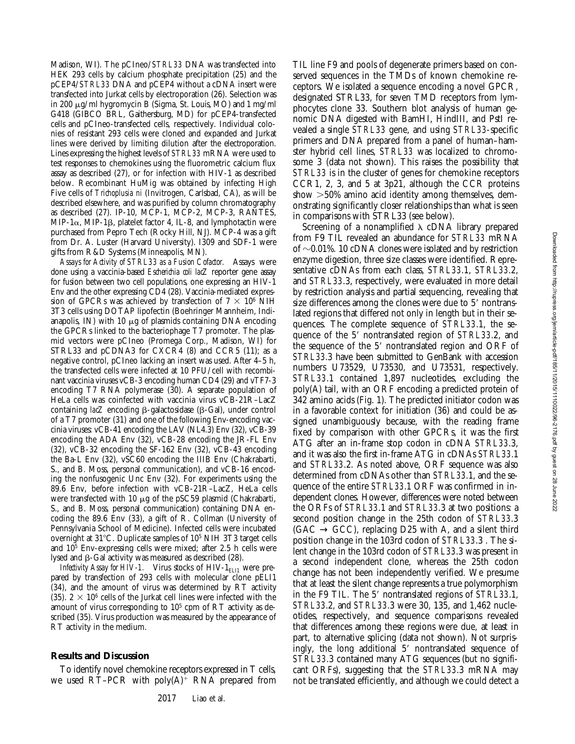Madison, WI). The pCIneo/*STRL33* DNA was transfected into HEK 293 cells by calcium phosphate precipitation (25) and the pCEP4/*STRL33* DNA and pCEP4 without a cDNA insert were transfected into Jurkat cells by electroporation (26). Selection was in 200 mg/ml hygromycin B (Sigma, St. Louis, MO) and 1 mg/ml G418 (GIBCO BRL, Gaithersburg, MD) for pCEP4-transfected cells and pCIneo-transfected cells, respectively. Individual colonies of resistant 293 cells were cloned and expanded and Jurkat lines were derived by limiting dilution after the electroporation. Lines expressing the highest levels of *STRL33* mRNA were used to test responses to chemokines using the fluorometric calcium flux assay as described (27), or for infection with HIV-1 as described below. Recombinant HuMig was obtained by infecting High Five cells of *Trichoplusia ni* (Invitrogen, Carlsbad, CA), as will be described elsewhere, and was purified by column chromatography as described (27). IP-10, MCP-1, MCP-2, MCP-3, RANTES, MIP-1 $\alpha$ , MIP-1 $\beta$ , platelet factor 4, IL-8, and lymphotactin were purchased from Pepro Tech (Rocky Hill, NJ). MCP-4 was a gift from Dr. A. Luster (Harvard University). I309 and SDF-1 were gifts from R&D Systems (Minneapolis, MN).

*Assays for Activity of STRL33 as a Fusion Cofactor.* Assays were done using a vaccinia-based *Escherichia coli lacZ* reporter gene assay for fusion between two cell populations, one expressing an HIV-1 Env and the other expressing CD4 (28). Vaccinia-mediated expression of GPCRs was achieved by transfection of  $7 \times 10^6$  NIH 3T3 cells using DOTAP lipofectin (Boehringer Mannheim, Indianapolis, IN) with 10  $\mu$ g of plasmids containing DNA encoding the GPCRs linked to the bacteriophage T7 promoter. The plasmid vectors were pCIneo (Promega Corp., Madison, WI) for STRL33 and pCDNA3 for CXCR4 (8) and CCR5 (11); as a negative control, pCIneo lacking an insert was used. After 4–5 h, the transfected cells were infected at 10 PFU/cell with recombinant vaccinia viruses vCB-3 encoding human CD4 (29) and vTF7-3 encoding T7 RNA polymerase (30). A separate population of HeLa cells was coinfected with vaccinia virus vCB-21R–LacZ containing *lacZ* encoding β-galactosidase (β-Gal), under control of a T7 promoter (31) and one of the following Env-encoding vaccinia viruses: vCB-41 encoding the LAV (NL4.3) Env (32), vCB-39 encoding the ADA Env (32), vCB-28 encoding the JR-FL Env (32), vCB-32 encoding the SF-162 Env (32), vCB-43 encoding the Ba-L Env (32), vSC60 encoding the IIIB Env (Chakrabarti, S., and B. Moss, personal communication), and vCB-16 encoding the nonfusogenic Unc Env (32). For experiments using the 89.6 Env, before infection with vCB-21R–LacZ, HeLa cells were transfected with 10  $\mu$ g of the pSC59 plasmid (Chakrabarti, S., and B. Moss, personal communication) containing DNA encoding the 89.6 Env (33), a gift of R. Collman (University of Pennsylvania School of Medicine). Infected cells were incubated overnight at 31°C. Duplicate samples of 10<sup>5</sup> NIH 3T3 target cells and 105 Env-expressing cells were mixed; after 2.5 h cells were lysed and  $\beta$ -Gal activity was measured as described (28).

*Infectivity Assay for HIV-1.* Virus stocks of HIV-1<sub>ELI1</sub> were prepared by transfection of 293 cells with molecular clone pELI1 (34), and the amount of virus was determined by RT activity (35).  $2 \times 10^6$  cells of the Jurkat cell lines were infected with the amount of virus corresponding to  $10<sup>5</sup>$  cpm of RT activity as described (35). Virus production was measured by the appearance of RT activity in the medium.

### **Results and Discussion**

To identify novel chemokine receptors expressed in T cells, we used RT–PCR with  $poly(A)^+$  RNA prepared from

TIL line F9 and pools of degenerate primers based on conserved sequences in the TMDs of known chemokine receptors. We isolated a sequence encoding a novel GPCR, designated STRL33, for seven TMD receptors from lymphocytes clone 33. Southern blot analysis of human genomic DNA digested with BamHI, HindIII, and PstI revealed a single *STRL33* gene, and using *STRL33*-specific primers and DNA prepared from a panel of human–hamster hybrid cell lines, *STRL33* was localized to chromosome 3 (data not shown). This raises the possibility that *STRL33* is in the cluster of genes for chemokine receptors CCR1, 2, 3, and 5 at 3p21, although the CCR proteins show  $>50\%$  amino acid identity among themselves, demonstrating significantly closer relationships than what is seen in comparisons with STRL33 (see below).

Screening of a nonamplified  $\lambda$  cDNA library prepared from F9 TIL revealed an abundance for *STRL33* mRNA of  $\sim$ 0.01%. 10 cDNA clones were isolated and by restriction enzyme digestion, three size classes were identified. Representative cDNAs from each class, *STRL33*.1, *STRL33*.2, and *STRL33*.3, respectively, were evaluated in more detail by restriction analysis and partial sequencing, revealing that size differences among the clones were due to 5' nontranslated regions that differed not only in length but in their sequences. The complete sequence of *STRL33*.1, the sequence of the 5' nontranslated region of *STRL33.2*, and the sequence of the 5' nontranslated region and ORF of *STRL33*.3 have been submitted to GenBank with accession numbers U73529, U73530, and U73531, respectively. *STRL33*.1 contained 1,897 nucleotides, excluding the poly(A) tail, with an ORF encoding a predicted protein of 342 amino acids (Fig. 1). The predicted initiator codon was in a favorable context for initiation (36) and could be assigned unambiguously because, with the reading frame fixed by comparison with other GPCRs, it was the first ATG after an in-frame stop codon in cDNA *STRL33*.3, and it was also the first in-frame ATG in cDNAs *STRL33*.1 and *STRL33*.2. As noted above, ORF sequence was also determined from cDNAs other than *STRL33*.1, and the sequence of the entire *STRL33*.1 ORF was confirmed in independent clones. However, differences were noted between the ORFs of *STRL33*.1 and *STRL33*.3 at two positions: a second position change in the 25th codon of *STRL33*.3  $(GAC \rightarrow GCC)$ , replacing D25 with A, and a silent third position change in the 103rd codon of *STRL33*.3 . The silent change in the 103rd codon of *STRL33*.3 was present in a second independent clone, whereas the 25th codon change has not been independently verified. We presume that at least the silent change represents a true polymorphism in the F9 TIL. The 5' nontranslated regions of *STRL33.1*, *STRL33*.2, and *STRL33*.3 were 30, 135, and 1,462 nucleotides, respectively, and sequence comparisons revealed that differences among these regions were due, at least in part, to alternative splicing (data not shown). Not surprisingly, the long additional 5' nontranslated sequence of *STRL33*.3 contained many ATG sequences (but no significant ORFs), suggesting that the *STRL33*.3 mRNA may not be translated efficiently, and although we could detect a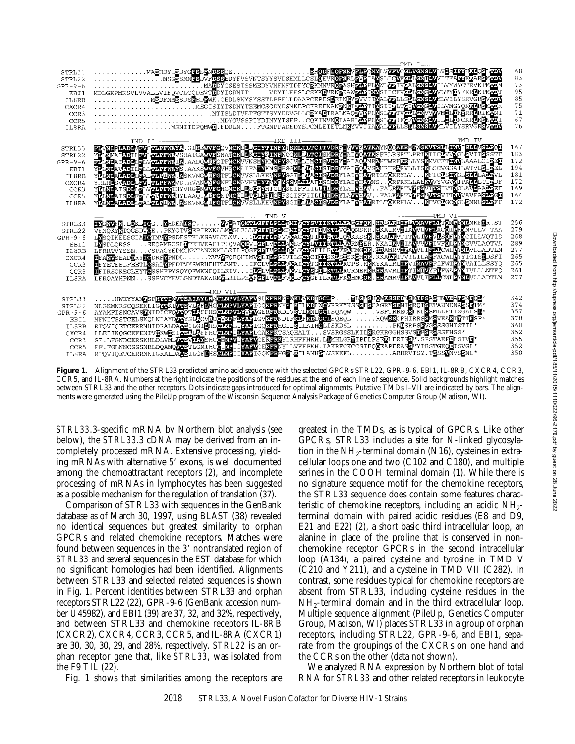

**Figure 1.** Alignment of the STRL33 predicted amino acid sequence with the selected GPCRs STRL22, GPR-9-6, EBI1, IL-8RB, CXCR4, CCR3, CCR5, and IL-8RA. Numbers at the right indicate the positions of the residues at the end of each line of sequence. Solid backgrounds highlight matches between STRL33 and the other receptors. Dots indicate gaps introduced for optimal alignments. Putative TMDs I–VII are indicated by bars. The alignments were generated using the PileUp program of the Wisconsin Sequence Analysis Package of Genetics Computer Group (Madison, WI).

*STRL33*.3-specific mRNA by Northern blot analysis (see below), the *STRL33*.3 cDNA may be derived from an incompletely processed mRNA. Extensive processing, yielding mRNAs with alternative 5' exons, is well documented among the chemoattractant receptors (2), and incomplete processing of mRNAs in lymphocytes has been suggested as a possible mechanism for the regulation of translation (37).

Comparison of STRL33 with sequences in the GenBank database as of March 30, 1997, using BLAST (38) revealed no identical sequences but greatest similarity to orphan GPCRs and related chemokine receptors. Matches were found between sequences in the 3' nontranslated region of *STRL33* and several sequences in the EST database for which no significant homologies had been identified. Alignments between STRL33 and selected related sequences is shown in Fig. 1. Percent identities between STRL33 and orphan receptors STRL22 (22), GPR-9-6 (GenBank accession number U45982), and EBI1 (39) are 37, 32, and 32%, respectively, and between STRL33 and chemokine receptors IL-8RB (CXCR2), CXCR4, CCR3, CCR5, and IL-8RA (CXCR1) are 30, 30, 30, 29, and 28%, respectively. *STRL22* is an orphan receptor gene that, like *STRL33*, was isolated from the F9 TIL (22).

Fig. 1 shows that similarities among the receptors are

greatest in the TMDs, as is typical of GPCRs. Like other GPCRs, STRL33 includes a site for N-linked glycosylation in the  $NH<sub>2</sub>$ -terminal domain (N16), cysteines in extracellular loops one and two (C102 and C180), and multiple serines in the COOH terminal domain (1). While there is no signature sequence motif for the chemokine receptors, the STRL33 sequence does contain some features characteristic of chemokine receptors, including an acidic  $NH_{2-}$ terminal domain with paired acidic residues (E8 and D9, E21 and E22) (2), a short basic third intracellular loop, an alanine in place of the proline that is conserved in nonchemokine receptor GPCRs in the second intracellular loop (A134), a paired cysteine and tyrosine in TMD V (C210 and Y211), and a cysteine in TMD VII (C282). In contrast, some residues typical for chemokine receptors are absent from STRL33, including cysteine residues in the NH2-terminal domain and in the third extracellular loop. Multiple sequence alignment (PileUp, Genetics Computer Group, Madison, WI) places STRL33 in a group of orphan receptors, including STRL22, GPR-9-6, and EBI1, separate from the groupings of the CXCRs on one hand and the CCRs on the other (data not shown).

We analyzed RNA expression by Northern blot of total RNA for *STRL33* and other related receptors in leukocyte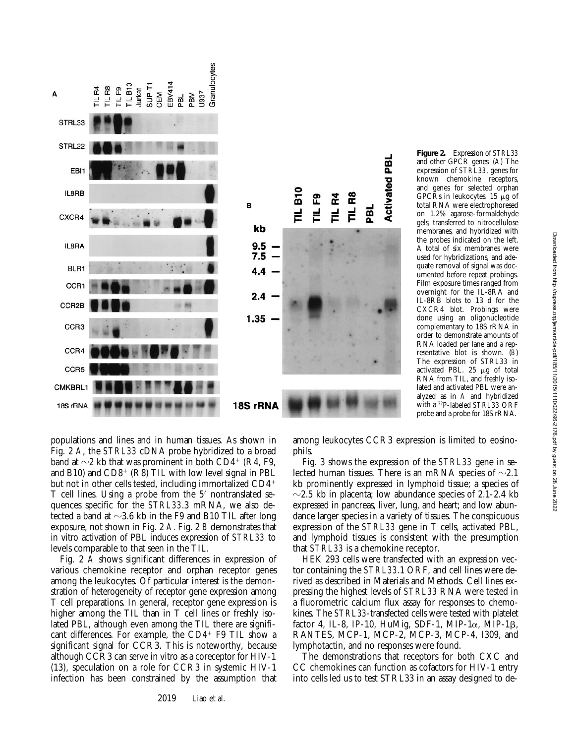



populations and lines and in human tissues. As shown in Fig. 2 *A*, the *STRL33* cDNA probe hybridized to a broad band at  $\sim$ 2 kb that was prominent in both CD4<sup>+</sup> (R4, F9, and B10) and  $CD8<sup>+</sup>$  (R8) TIL with low level signal in PBL but not in other cells tested, including immortalized  $CD4$ <sup>+</sup> T cell lines. Using a probe from the 5' nontranslated sequences specific for the *STRL33*.3 mRNA, we also detected a band at  $\sim$ 3.6 kb in the F9 and B10 TIL after long exposure, not shown in Fig. 2 *A*. Fig. 2 *B* demonstrates that in vitro activation of PBL induces expression of *STRL33* to levels comparable to that seen in the TIL.

Fig. 2 *A* shows significant differences in expression of various chemokine receptor and orphan receptor genes among the leukocytes. Of particular interest is the demonstration of heterogeneity of receptor gene expression among T cell preparations. In general, receptor gene expression is higher among the TIL than in T cell lines or freshly isolated PBL, although even among the TIL there are significant differences. For example, the  $CD4^+$  F9 TIL show a significant signal for CCR3. This is noteworthy, because although CCR3 can serve in vitro as a coreceptor for HIV-1 (13), speculation on a role for CCR3 in systemic HIV-1 infection has been constrained by the assumption that

among leukocytes CCR3 expression is limited to eosinophils.

Fig. 3 shows the expression of the *STRL33* gene in selected human tissues. There is an mRNA species of  $\sim 2.1$ kb prominently expressed in lymphoid tissue; a species of  $\sim$ 2.5 kb in placenta; low abundance species of 2.1-2.4 kb expressed in pancreas, liver, lung, and heart; and low abundance larger species in a variety of tissues. The conspicuous expression of the *STRL33* gene in T cells, activated PBL, and lymphoid tissues is consistent with the presumption that *STRL33* is a chemokine receptor.

HEK 293 cells were transfected with an expression vector containing the *STRL33*.1 ORF, and cell lines were derived as described in Materials and Methods. Cell lines expressing the highest levels of *STRL33* RNA were tested in a fluorometric calcium flux assay for responses to chemokines. The *STRL33*-transfected cells were tested with platelet factor 4, IL-8, IP-10, HuMig, SDF-1, MIP-1 $\alpha$ , MIP-1 $\beta$ , RANTES, MCP-1, MCP-2, MCP-3, MCP-4, I309, and lymphotactin, and no responses were found.

The demonstrations that receptors for both CXC and CC chemokines can function as cofactors for HIV-1 entry into cells led us to test STRL33 in an assay designed to de-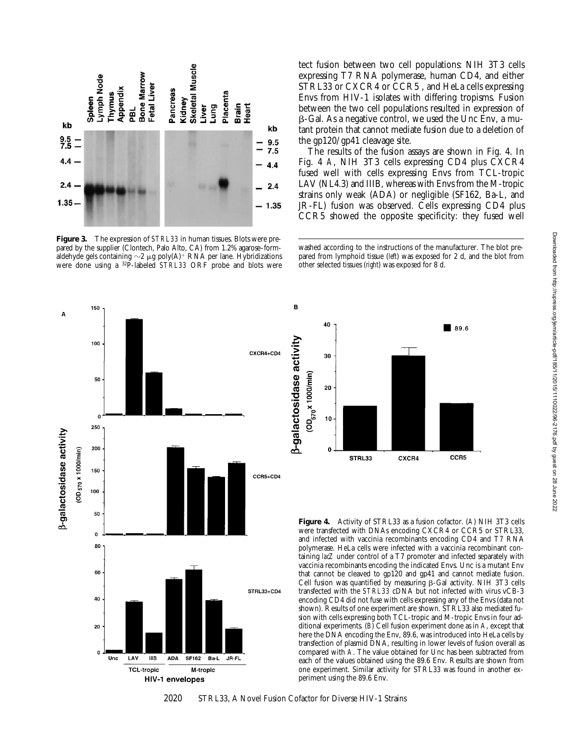

**Figure 3.** The expression of *STRL33* in human tissues. Blots were prepared by the supplier (Clontech, Palo Alto, CA) from 1.2% agarose–formaldehyde gels containing  $\sim$ 2 µg poly(A)<sup>+</sup> RNA per lane. Hybridizations were done using a 32P-labeled *STRL33* ORF probe and blots were

tect fusion between two cell populations: NIH 3T3 cells expressing T7 RNA polymerase, human CD4, and either STRL33 or CXCR4 or CCR5 , and HeLa cells expressing Envs from HIV-1 isolates with differing tropisms. Fusion between the two cell populations resulted in expression of  $\beta$ -Gal. As a negative control, we used the Unc Env, a mutant protein that cannot mediate fusion due to a deletion of the gp120/gp41 cleavage site.

The results of the fusion assays are shown in Fig. 4. In Fig. 4 *A*, NIH 3T3 cells expressing CD4 plus CXCR4 fused well with cells expressing Envs from TCL-tropic LAV (NL4.3) and IIIB, whereas with Envs from the M-tropic strains only weak (ADA) or negligible (SF162, Ba-L, and JR-FL) fusion was observed. Cells expressing CD4 plus CCR5 showed the opposite specificity: they fused well

washed according to the instructions of the manufacturer. The blot prepared from lymphoid tissue (*left*) was exposed for 2 d, and the blot from other selected tissues (*right*) was exposed for 8 d.



B 40 89.6 **B-galactosidase activity** 30 (OD<sub>570</sub> x 1000/min) 20 10 STRL33 CXCR4 CCR5

**Figure 4.** Activity of STRL33 as a fusion cofactor. (*A*) NIH 3T3 cells were transfected with DNAs encoding CXCR4 or CCR5 or STRL33, and infected with vaccinia recombinants encoding CD4 and T7 RNA polymerase. HeLa cells were infected with a vaccinia recombinant containing *lacZ* under control of a T7 promoter and infected separately with vaccinia recombinants encoding the indicated Envs. Unc is a mutant Env that cannot be cleaved to gp120 and gp41 and cannot mediate fusion. Cell fusion was quantified by measuring  $\beta$ -Gal activity. NIH 3T3 cells transfected with the *STRL33* cDNA but not infected with virus vCB-3 encoding CD4 did not fuse with cells expressing any of the Envs (data not shown). Results of one experiment are shown. STRL33 also mediated fusion with cells expressing both TCL-tropic and M-tropic Envs in four additional experiments. (*B*) Cell fusion experiment done as in *A*, except that here the DNA encoding the Env, 89.6, was introduced into HeLa cells by transfection of plasmid DNA, resulting in lower levels of fusion overall as compared with *A*. The value obtained for Unc has been subtracted from each of the values obtained using the 89.6 Env. Results are shown from one experiment. Similar activity for STRL33 was found in another experiment using the 89.6 Env.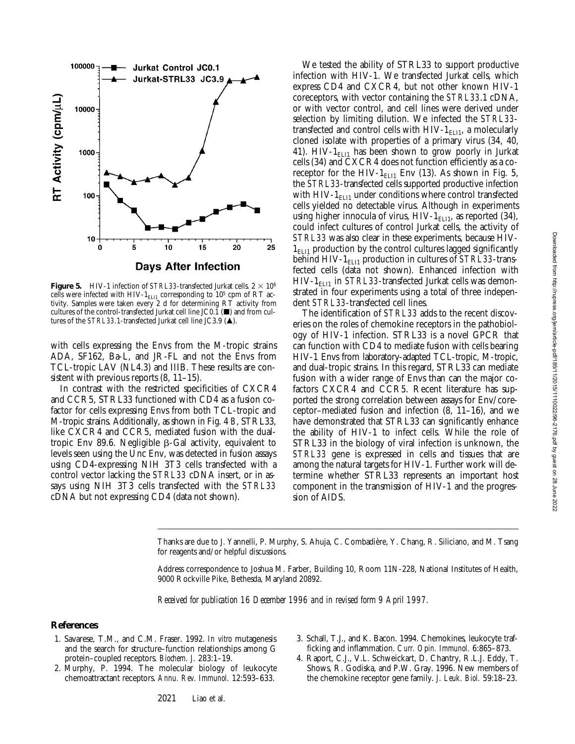

**Figure 5.** HIV-1 infection of *STRL33*-transfected Jurkat cells.  $2 \times 10^6$ cells were infected with HIV- $1_{\text{ELI1}}$  corresponding to  $10^5$  cpm of RT activity. Samples were taken every 2 d for determining RT activity from cultures of the control-transfected Jurkat cell line JC0.1 ( $\blacksquare$ ) and from cultures of the *STRL33.1*-transfected Jurkat cell line JC3.9 ( $\triangle$ ).

with cells expressing the Envs from the M-tropic strains ADA, SF162, Ba-L, and JR-FL and not the Envs from TCL-tropic LAV (NL4.3) and IIIB. These results are consistent with previous reports (8, 11–15).

In contrast with the restricted specificities of CXCR4 and CCR5, STRL33 functioned with CD4 as a fusion cofactor for cells expressing Envs from both TCL-tropic and M-tropic strains. Additionally, as shown in Fig. 4 *B*, STRL33, like CXCR4 and CCR5, mediated fusion with the dualtropic Env 89.6. Negligible  $\beta$ -Gal activity, equivalent to levels seen using the Unc Env, was detected in fusion assays using CD4-expressing NIH 3T3 cells transfected with a control vector lacking the *STRL33* cDNA insert, or in assays using NIH 3T3 cells transfected with the *STRL33* cDNA but not expressing CD4 (data not shown).

We tested the ability of STRL33 to support productive infection with HIV-1. We transfected Jurkat cells, which express CD4 and CXCR4, but not other known HIV-1 coreceptors, with vector containing the *STRL33*.1 cDNA, or with vector control, and cell lines were derived under selection by limiting dilution. We infected the *STRL33* transfected and control cells with HIV-1 $_{\text{ELI1}}$ , a molecularly cloned isolate with properties of a primary virus (34, 40, 41). HIV- $1_{\text{EL11}}$  has been shown to grow poorly in Jurkat cells (34) and CXCR4 does not function efficiently as a coreceptor for the HIV- $1_{\text{ELI1}}$  Env (13). As shown in Fig. 5, the *STRL33*-transfected cells supported productive infection with HIV- $1_{ELI}$  under conditions where control transfected cells yielded no detectable virus. Although in experiments using higher innocula of virus,  $HIV-1<sub>ELI1</sub>$ , as reported (34), could infect cultures of control Jurkat cells, the activity of *STRL33* was also clear in these experiments, because HIV- $1<sub>ELI1</sub>$  production by the control cultures lagged significantly behind HIV-1<sub>ELI1</sub> production in cultures of *STRL33*-transfected cells (data not shown). Enhanced infection with  $HIV-1<sub>ELI1</sub>$  in *STRL33*-transfected Jurkat cells was demonstrated in four experiments using a total of three independent *STRL33*-transfected cell lines.

The identification of *STRL33* adds to the recent discoveries on the roles of chemokine receptors in the pathobiology of HIV-1 infection. STRL33 is a novel GPCR that can function with CD4 to mediate fusion with cells bearing HIV-1 Envs from laboratory-adapted TCL-tropic, M-tropic, and dual-tropic strains. In this regard, STRL33 can mediate fusion with a wider range of Envs than can the major cofactors CXCR4 and CCR5. Recent literature has supported the strong correlation between assays for Env/coreceptor–mediated fusion and infection (8, 11–16), and we have demonstrated that STRL33 can significantly enhance the ability of HIV-1 to infect cells. While the role of STRL33 in the biology of viral infection is unknown, the *STRL33* gene is expressed in cells and tissues that are among the natural targets for HIV-1. Further work will determine whether STRL33 represents an important host component in the transmission of HIV-1 and the progression of AIDS.

Thanks are due to J. Yannelli, P. Murphy, S. Ahuja, C. Combadière, Y. Chang, R. Siliciano, and M. Tsang for reagents and/or helpful discussions.

Address correspondence to Joshua M. Farber, Building 10, Room 11N-228, National Institutes of Health, 9000 Rockville Pike, Bethesda, Maryland 20892.

*Received for publication 16 December 1996 and in revised form 9 April 1997.*

#### **References**

- 1. Savarese, T.M., and C.M. Fraser. 1992. *In vitro* mutagenesis and the search for structure–function relationships among G protein–coupled receptors. *Biochem. J.* 283:1–19.
- 2. Murphy, P. 1994. The molecular biology of leukocyte chemoattractant receptors. *Annu. Rev. Immunol.* 12:593–633.
- 3. Schall, T.J., and K. Bacon. 1994. Chemokines, leukocyte trafficking and inflammation. *Curr. Opin. Immunol.* 6:865–873.
- 4. Raport, C.J., V.L. Schweickart, D. Chantry, R.L.J. Eddy, T. Shows, R. Godiska, and P.W. Gray. 1996. New members of the chemokine receptor gene family. *J. Leuk. Biol.* 59:18–23.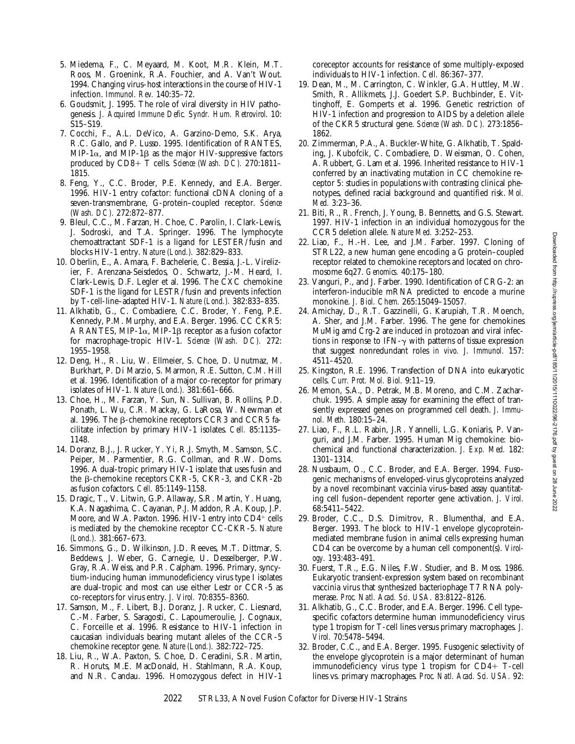- 5. Miedema, F., C. Meyaard, M. Koot, M.R. Klein, M.T. Roos, M. Groenink, R.A. Fouchier, and A. Van't Wout. 1994. Changing virus–host interactions in the course of HIV-1 infection. *Immunol. Rev.* 140:35–72.
- 6. Goudsmit, J. 1995. The role of viral diversity in HIV pathogenesis. *J. Acquired Immune Defic. Syndr. Hum. Retrovirol*. 10: S15–S19.
- 7. Cocchi, F., A.L. DeVico, A. Garzino-Demo, S.K. Arya, R.C. Gallo, and P. Lusso. 1995. Identification of RANTES, MIP-1 $\alpha$ , and MIP-1 $\beta$  as the major HIV-suppressive factors produced by CD8+ T cells. *Science (Wash. DC).* 270:1811-1815.
- 8. Feng, Y., C.C. Broder, P.E. Kennedy, and E.A. Berger. 1996. HIV-1 entry cofactor: functional cDNA cloning of a seven-transmembrane, G-protein–coupled receptor. *Science (Wash. DC).* 272:872–877.
- 9. Bleul, C.C., M. Farzan, H. Choe, C. Parolin, I. Clark-Lewis, J. Sodroski, and T.A. Springer. 1996. The lymphocyte chemoattractant SDF-1 is a ligand for LESTER/fusin and blocks HIV-1 entry. *Nature (Lond.).* 382:829–833.
- 10. Oberlin, E., A. Amara, F. Bachelerie, C. Bessia, J.-L. Virelizier, F. Arenzana-Seisdedos, O. Schwartz, J.-M. Heard, I. Clark-Lewis, D.F. Legler et al. 1996. The CXC chemokine SDF-1 is the ligand for LESTR/fusin and prevents infection by T-cell-line–adapted HIV-1. *Nature (Lond.).* 382:833–835.
- 11. Alkhatib, G., C. Combadiere, C.C. Broder, Y. Feng, P.E. Kennedy, P.M. Murphy, and E.A. Berger. 1996. CC CKR5: A RANTES, MIP-1 $\alpha$ , MIP-1 $\beta$  receptor as a fusion cofactor for macrophage-tropic HIV-1. *Science (Wash. DC).* 272: 1955–1958.
- 12. Deng, H., R. Liu, W. Ellmeier, S. Choe, D. Unutmaz, M. Burkhart, P. Di Marzio, S. Marmon, R.E. Sutton, C.M. Hill et al. 1996. Identification of a major co-receptor for primary isolates of HIV-1. *Nature (Lond.).* 381:661–666.
- 13. Choe, H., M. Farzan, Y. Sun, N. Sullivan, B. Rollins, P.D. Ponath, L. Wu, C.R. Mackay, G. LaRosa, W. Newman et al. 1996. The  $\beta$ -chemokine receptors CCR3 and CCR5 facilitate infection by primary HIV-1 isolates. *Cell.* 85:1135– 1148.
- 14. Doranz, B.J., J. Rucker, Y. Yi, R.J. Smyth, M. Samson, S.C. Peiper, M. Parmentier, R.G. Collman, and R.W. Doms. 1996. A dual-tropic primary HIV-1 isolate that uses fusin and the  $\beta$ -chemokine receptors CKR-5, CKR-3, and CKR-2b as fusion cofactors. *Cell.* 85:1149–1158.
- 15. Dragic, T., V. Litwin, G.P. Allaway, S.R. Martin, Y. Huang, K.A. Nagashima, C. Cayanan, P.J. Maddon, R.A. Koup, J.P. Moore, and W.A. Paxton. 1996. HIV-1 entry into  $CD4^+$  cells is mediated by the chemokine receptor CC-CKR-5. *Nature (Lond.).* 381:667–673.
- 16. Simmons, G., D. Wilkinson, J.D. Reeves, M.T. Dittmar, S. Beddews, J. Weber, G. Carnegie, U. Desselberger, P.W. Gray, R.A. Weiss, and P.R. Calpham. 1996. Primary, syncytium-inducing human immunodeficiency virus type I isolates are dual-tropic and most can use either Lestr or CCR-5 as co-receptors for virus entry. *J. Virol.* 70:8355–8360.
- 17. Samson, M., F. Libert, B.J. Doranz, J. Rucker, C. Liesnard, C.-M. Farber, S. Saragosti, C. Lapoumeroulie, J. Cognaux, C. Forceille et al. 1996. Resistance to HIV-1 infection in caucasian individuals bearing mutant alleles of the CCR-5 chemokine receptor gene. *Nature (Lond.).* 382:722–725.
- 18. Liu, R., W.A. Paxton, S. Choe, D. Ceradini, S.R. Martin, R. Horuts, M.E. MacDonald, H. Stahlmann, R.A. Koup, and N.R. Candau. 1996. Homozygous defect in HIV-1

coreceptor accounts for resistance of some multiply-exposed individuals to HIV-1 infection. *Cell.* 86:367–377.

- 19. Dean, M., M. Carrington, C. Winkler, G.A. Huttley, M.W. Smith, R. Allikmets, J.J. Goedert S.P. Buchbinder, E. Vittinghoff, E. Gomperts et al. 1996. Genetic restriction of HIV-1 infection and progression to AIDS by a deletion allele of the CKR5 structural gene. *Science (Wash. DC).* 273:1856– 1862.
- 20. Zimmerman, P.A., A. Buckler-White, G. Alkhatib, T. Spalding, J. Kubofcik, C. Combadiere, D. Weissman, O. Cohen, A. Rubbert, G. Lam et al. 1996. Inherited resistance to HIV-1 conferred by an inactivating mutation in CC chemokine receptor 5: studies in populations with contrasting clinical phenotypes, defined racial background and quantified risk. *Mol. Med.* 3:23–36.
- 21. Biti, R., R. French, J. Young, B. Bennetts, and G.S. Stewart. 1997. HIV-1 infection in an individual homozygous for the CCR5 deletion allele. *Nature Med.* 3:252–253.
- 22. Liao, F., H.-H. Lee, and J.M. Farber. 1997. Cloning of STRL22, a new human gene encoding a G protein–coupled receptor related to chemokine receptors and located on chromosome 6q27. *Genomics.* 40:175–180.
- 23. Vanguri, P., and J. Farber. 1990. Identification of CRG-2: an interferon-inducible mRNA predicted to encode a murine monokine. *J. Biol. Chem.* 265:15049–15057.
- 24. Amichay, D., R.T. Gazzinelli, G. Karupiah, T.R. Moench, A. Sher, and J.M. Farber. 1996. The gene for chemokines MuMig amd Crg-2 are induced in protozoan and viral infections in response to IFN- $\gamma$  with patterns of tissue expression that suggest nonredundant roles *in vivo. J. Immunol.* 157: 4511–4520.
- 25. Kingston, R.E. 1996. Transfection of DNA into eukaryotic cells. *Curr. Prot. Mol. Biol.* 9:11–19.
- 26. Memon, S.A., D. Petrak, M.B. Moreno, and C.M. Zacharchuk. 1995. A simple assay for examining the effect of transiently expressed genes on programmed cell death. *J. Immunol. Meth.* 180:15–24.
- 27. Liao, F., R.L. Rabin, J.R. Yannelli, L.G. Koniaris, P. Vanguri, and J.M. Farber. 1995. Human Mig chemokine: biochemical and functional characterization. *J. Exp. Med.* 182: 1301–1314.
- 28. Nussbaum, O., C.C. Broder, and E.A. Berger. 1994. Fusogenic mechanisms of enveloped-virus glycoproteins analyzed by a novel recombinant vaccinia virus–based assay quantitating cell fusion–dependent reporter gene activation. *J. Virol.* 68:5411–5422.
- 29. Broder, C.C., D.S. Dimitrov, R. Blumenthal, and E.A. Berger. 1993. The block to HIV-1 envelope glycoproteinmediated membrane fusion in animal cells expressing human CD4 can be overcome by a human cell component(s). *Virology.* 193:483–491.
- 30. Fuerst, T.R., E.G. Niles, F.W. Studier, and B. Moss. 1986. Eukaryotic transient-expression system based on recombinant vaccinia virus that synthesized bacteriophage T7 RNA polymerase. *Proc. Natl. Acad. Sci. USA.* 83:8122–8126.
- 31. Alkhatib, G., C.C. Broder, and E.A. Berger. 1996. Cell type– specific cofactors determine human immunodeficiency virus type 1 tropism for T-cell lines versus primary macrophages. *J. Virol.* 70:5478–5494.
- 32. Broder, C.C., and E.A. Berger. 1995. Fusogenic selectivity of the envelope glycoprotein is a major determinant of human immunodeficiency virus type 1 tropism for  $CD4+$  T-cell lines vs. primary macrophages. *Proc. Natl. Acad. Sci. USA.* 92: